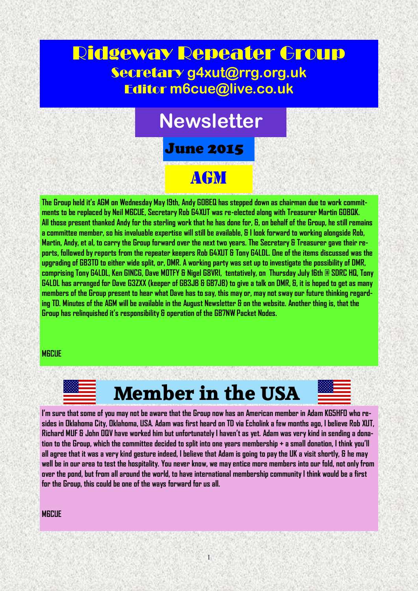### Ridgeway Repeater Group Secretary **g4xut@rrg.org.uk** Editor **m6cue@live.co.uk**

# **Newsletter**

June 2015

## AGM

**The Group held it's AGM on Wednesday May 19th, Andy G0BEQ has stepped down as chairman due to work commitments to be replaced by Neil M6CUE, Secretary Rob G4XUT was re-elected along with Treasurer Martin G0BQK. All those present thanked Andy for the sterling work that he has done for, &, on behalf of the Group, he still remains a committee member, so his invaluable expertise will still be available, & I look forward to working alongside Rob, Martin, Andy, et al, to carry the Group forward over the next two years. The Secretary & Treasurer gave their reports, followed by reports from the repeater keepers Rob G4XUT & Tony G4LDL. One of the items discussed was the upgrading of GB3TD to either wide split, or, DMR. A working party was set up to investigate the possibility of DMR, comprising Tony G4LDL, Ken G1NCG, Dave M0TFY & Nigel G8VRI, tentatively, on Thursday July 16th @ SDRC HQ, Tony G4LDL has arranged for Dave G3ZXX (keeper of GB3JB & GB7JB) to give a talk on DMR, &, it is hoped to get as many members of the Group present to hear what Dave has to say, this may or, may not sway our future thinking regarding TD. Minutes of the AGM will be available in the August Newsletter & on the website. Another thing is, that the Group has relinquished it's responsibility & operation of the GB7NW Packet Nodes.**

#### **M6CUE**

## **Member in the USA**

**I'm sure that some of you may not be aware that the Group now has an American member in Adam KG5HFO who resides in Oklahoma City, Oklahoma, USA. Adam was first heard on TD via Echolink a few months ago, I believe Rob XUT, Richard MUF & John OQV have worked him but unfortunately I haven't as yet. Adam was very kind in sending a donation to the Group, which the committee decided to split into one years membership + a small donation, I think you'll all agree that it was a very kind gesture indeed, I believe that Adam is going to pay the UK a visit shortly, & he may well be in our area to test the hospitality. You never know, we may entice more members into our fold, not only from over the pond, but from all around the world, to have international membership community I think would be a first for the Group, this could be one of the ways forward for us all.**

#### **M6CUE**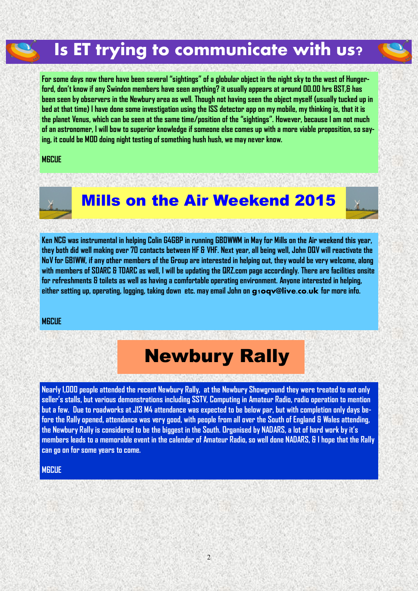## **Is ET trying to communicate with us?**

**For some days now there have been several "sightings" of a globular object in the night sky to the west of Hungerford, don't know if any Swindon members have seen anything? it usually appears at around 00.00 hrs BST,& has been seen by observers in the Newbury area as well. Though not having seen the object myself (usually tucked up in bed at that time) I have done some investigation using the ISS detector app on my mobile, my thinking is, that it is the planet Venus, which can be seen at the same time/position of the "sightings". However, because I am not much of an astronomer, I will bow to superior knowledge if someone else comes up with a more viable proposition, so saying, it could be MOD doing night testing of something hush hush, we may never know.** 

#### **M6CUE**





**Ken NCG was instrumental in helping Colin G4GBP in running GB0WWM in May for Mills on the Air weekend this year, they both did well making over 70 contacts between HF & VHF. Next year, all being well, John OQV will reactivate the NoV for GB1WW, if any other members of the Group are interested in helping out, they would be very welcome, along with members of SDARC & TDARC as well, I will be updating the QRZ.com page accordingly. There are facilities onsite for refreshments & toilets as well as having a comfortable operating environment. Anyone interested in helping, either setting up, operating, logging, taking down etc. may email John on g1oqv@live.co.uk for more info.** 

#### **M6CUE**

# Newbury Rally

**Nearly 1,000 people attended the recent Newbury Rally, at the Newbury Showground they were treated to not only seller's stalls, but various demonstrations including SSTV, Computing in Amateur Radio, radio operation to mention but a few. Due to roadworks at J13 M4 attendance was expected to be below par, but with completion only days before the Rally opened, attendance was very good, with people from all over the South of England & Wales attending, the Newbury Rally is considered to be the biggest in the South. Organised by NADARS, a lot of hard work by it's members leads to a memorable event in the calendar of Amateur Radio, so well done NADARS, & I hope that the Rally can go on for some years to come.** 

#### **M6CUE**